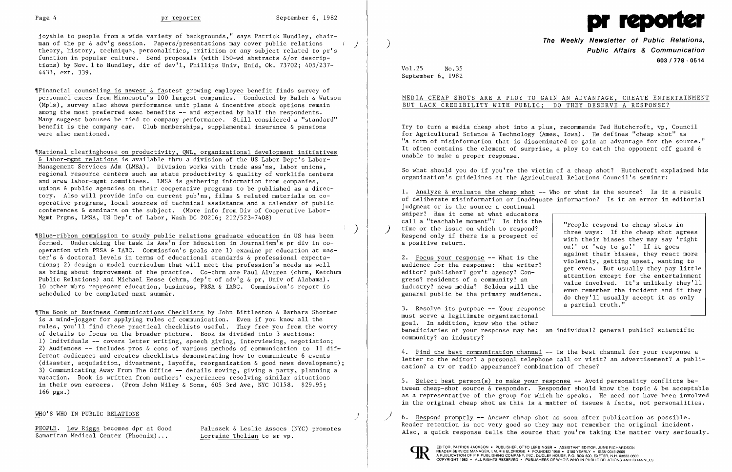

joyable to people from a wide variety of backgrounds," says Patrick Hundley, chairman of the pr & adv'g session. Papers/presentations may cover public relations ) theory, history, technique, personalities, criticism or any subject related to pr's function in popular culture. Send proposals (with 150-wd abstracts  $\&/$ or descriptions) by Nov. 1 to Hundley, dir of dev'l, Phillips Univ, Enid, Ok. 73702; 405/237-4433, ext. 339.

 $\P$ Financial counseling is newest & fastest growing employee benefit finds survey of personnel execs from Minnesota's 100 largest companies. Conducted by Balch & Watson (Mpls), survey also shows performance unit plans & incentive stock options remain among the most preferred exec benefits -- and expected by half the respondents. Many suggest bonuses be tied to company performance. Still considered a "standard" benefit is the company car. Club memberships, supplemental insurance & pensions were also mentioned.

'INational clearinghouse on productivity, QWL, organizational development initiatives & labor-mgmt relations is available thru a division of the US Labor Dept's Labor-Management Services Adm (LMSA). Division works with trade ass'ns, labor unions, regional resource centers such as state productivity & quality of worklife centers and area labor-mgmt committees. LMSA is gathering information from companies, unions & public agencies on their cooperative programs to be published as a directory. Also will provide info on current pub'ns, films & related materials on cooperative programs, local sources of technical assistance and a calendar of public conferences & seminars on the subject. (More info from Div of Cooperative Labor-Mgmt Prgms, LMSA, US Dep't of Labor, Wash DC 20216; 212/523-7408)

## MEDIA CHEAP SHOTS ARE A PLOY TO GAIN AN ADVANTAGE, CREATE ENTERTAINMENT BUT LACK CREDIBILITY WITH PUBLIC; DO THEY DESERVE A RESPONSE?

) 'IBlue-ribbon commission to study public relations graduate education in US has been formed. Undertaking the task is Ass'n for Education in Journalism's pr div in cooperation with PRSA & IABC. Commission's goals are 1) examine pr education at master's & doctoral levels in terms of educational standards & professional expectations; 2) design a model curriculum that will meet the profession's needs as well as bring about improvement of the practice. Co-chrm are Paul Alvarez (chrm, Ketchum Public Relations) and Michael Hesse (chrm, dep't of adv'g & pr, Univ of Alabama). 10 other mbrs represent education, business, PRSA & IABC. Commission's report is scheduled to be completed next summer.

> 3. Resolve its purpose -- Your response must serve a legitimate organizational goal. In addition, know who the other beneficiaries of your response may be: an individual? general public? scientific community? an industry?

'IThe Book of Business Communications Checklists by John Bittleston & Barbara Shorter is a mind-jogger for applying rules of communication. Even if you know all the rules, you'll find these practical checklists useful. They free you from the worry of details to focus on the broader picture. Book is divided into 3 sections: 1) Individuals -- covers letter writing, speech giving, interviewing, negotiation; 2) Audiences  $--$  includes pros & cons of various methods of communication to 11 dif $$ ferent audiences and creates checklists demonstrating how to communicate 6 events (disaster, acquisition, divestment, layoffs, reorganization & good news development); 3) Communicating Away From The Office -- details moving, giving a party, planning a vacation. Book is written from authors' experiences resolving similar situations in their own careers. (From John Wiley & Sons, 605 3rd Ave, NYC 10158. \$29.95; 166 pgs.)

> 6. Respond promptly -- Answer cheap shot as soon after publication as possible. Reader retention is not very good so they may not remember the original incident. Also, a quick response tells the source that you're taking the matter very seriously.



### WHO'S WHO IN PUBLIC RELATIONS )

Samaritan Medical Center (Phoenix)...

PEOPLE. Lew Riggs becomes dpr at Good Paluszek & Leslie Assocs (NYC) promotes<br>Samaritan Medical Center (Phoenix)... Lorraine Thelian to sr vp.

# **The Weekly Newsletter of Public Relations,** ) **Public Affairs & Communication 603/778** - **0514**

2. <u>Focus your response</u> -- What is the against their biases, they react more violently, getting upset, wanting to audience for the response: the writer? and ally setting upset, wanting to aditor? publisher? gov't agency? even remember the incident and if they general public be the primary audience.<br>  $\begin{array}{c|c|c|c|c|c|c} \text{value involved.} & \text{It's unlikely they'll} \text{query all} \text{empty.} & \text{even remember the incident and if they do they'll usually accept it as only a partial truth."} \end{array}$ 

Vol.25 No.35 September 6, 1982

Try to turn a media cheap shot into a plus, recommends Ted Hutchcroft, vp, Council for Agricultural Science & Technology (Ames, Iowa). He defines "cheap shot" as "a form of misinformation that is disseminated to gain an advantage for the source." It often contains the element of surprise, a ploy to catch the opponent off guard  $\&$ unable to make a proper response.

So what should you do if you're the victim of a cheap shot? Hutchcroft explained his organization's guidelines at the Agricultural Relations Council's seminar:

1. Analyze  $\&$  evaluate the cheap shot  $-$ - Who or what is the source? Is it a result of deliberate misinformation or inadequate information? Is it an error in editorial judgment or is the source a continual sniper? Has it come at what educators<br>call a "teachable moment"? Is this the call a "teachable moment"? Is this the<br>time or the issue on which to respond?<br>Respond only if there is a prospect of<br>a positive return.<br>a positive return.

audience for the response: the writer?<br>
editor? publisher? gov't agency? Con-<br>
gress? residents of a community? an<br>
industry? news media? Seldom will the<br>
sugar remomber the incident and if they

4. Find the best communication channel -- Is the best channel for your response a letter to the editor? a personal telephone call or visit? an advertisement? a publication? a tv or radio appearance? combination of these?

5. Select best person(s) to make your response -- Avoid personality conflicts between cheap-shot source & responder. Responder should know the topic & be acceptable as a representative of the group for which he speaks. He need not have been involved in the original cheap shot as this is a matter of issues & facts, not personalities.

}